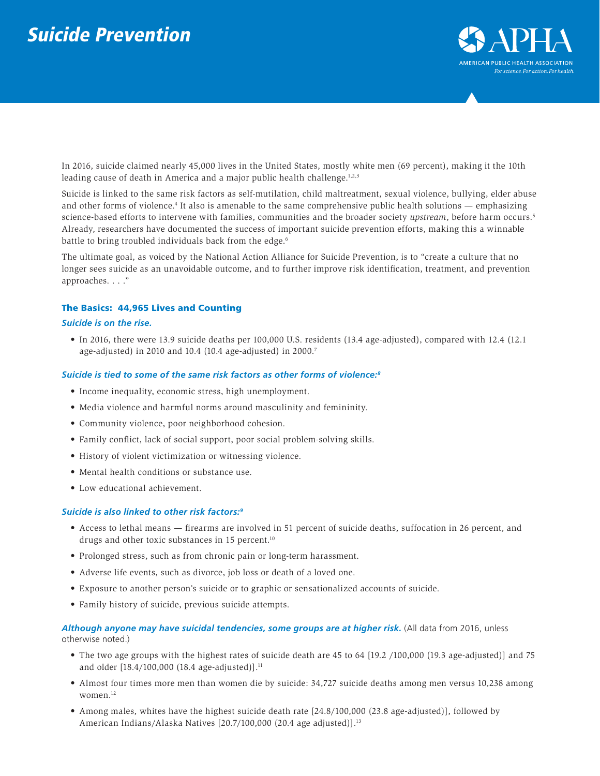

In 2016, suicide claimed nearly 45,000 lives in the United States, mostly white men (69 percent), making it the 10th leading cause of death in America and a major public health challenge.<sup>1,2,3</sup>

Suicide is linked to the same risk factors as self-mutilation, child maltreatment, sexual violence, bullying, elder abuse and other forms of violence.<sup>4</sup> It also is amenable to the same comprehensive public health solutions — emphasizing science-based efforts to intervene with families, communities and the broader society *upstream*, before harm occurs.5 Already, researchers have documented the success of important suicide prevention efforts, making this a winnable battle to bring troubled individuals back from the edge.<sup>6</sup>

The ultimate goal, as voiced by the National Action Alliance for Suicide Prevention, is to "create a culture that no longer sees suicide as an unavoidable outcome, and to further improve risk identification, treatment, and prevention approaches. . . ."

## The Basics: 44,965 Lives and Counting

## *Suicide is on the rise.*

• In 2016, there were 13.9 suicide deaths per 100,000 U.S. residents (13.4 age-adjusted), compared with 12.4 (12.1 age-adjusted) in 2010 and 10.4 (10.4 age-adjusted) in 2000.7

## *Suicide is tied to some of the same risk factors as other forms of violence:8*

- Income inequality, economic stress, high unemployment.
- Media violence and harmful norms around masculinity and femininity.
- Community violence, poor neighborhood cohesion.
- Family conflict, lack of social support, poor social problem-solving skills.
- History of violent victimization or witnessing violence.
- Mental health conditions or substance use.
- Low educational achievement.

# *Suicide is also linked to other risk factors:9*

- Access to lethal means firearms are involved in 51 percent of suicide deaths, suffocation in 26 percent, and drugs and other toxic substances in 15 percent.10
- Prolonged stress, such as from chronic pain or long-term harassment.
- Adverse life events, such as divorce, job loss or death of a loved one.
- Exposure to another person's suicide or to graphic or sensationalized accounts of suicide.
- Family history of suicide, previous suicide attempts.

Although anyone may have suicidal tendencies, some groups are at higher risk. (All data from 2016, unless otherwise noted.)

- The two age groups with the highest rates of suicide death are 45 to 64 [19.2 /100,000 (19.3 age-adjusted)] and 75 and older [18.4/100,000 (18.4 age-adjusted)].<sup>11</sup>
- Almost four times more men than women die by suicide: 34,727 suicide deaths among men versus 10,238 among women.<sup>12</sup>
- Among males, whites have the highest suicide death rate [24.8/100,000 (23.8 age-adjusted)], followed by American Indians/Alaska Natives [20.7/100,000 (20.4 age adjusted)].<sup>13</sup>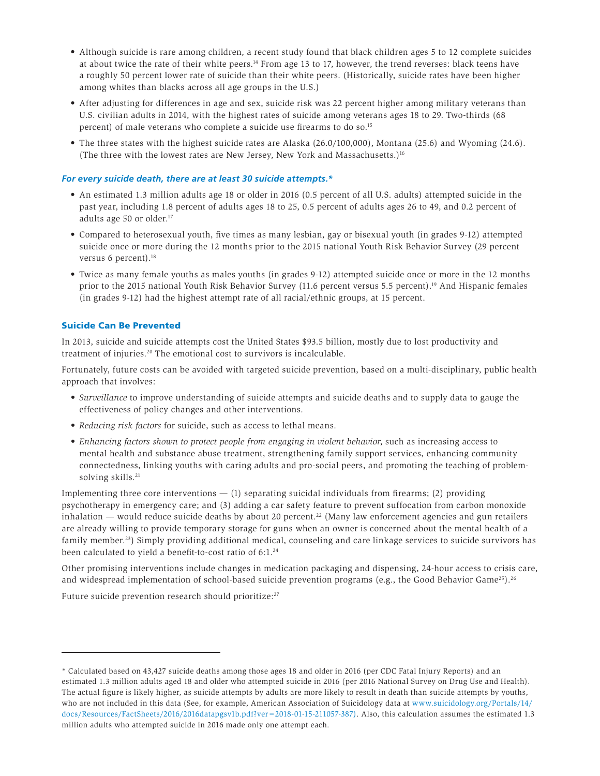- Although suicide is rare among children, a recent study found that black children ages 5 to 12 complete suicides at about twice the rate of their white peers.14 From age 13 to 17, however, the trend reverses: black teens have a roughly 50 percent lower rate of suicide than their white peers. (Historically, suicide rates have been higher among whites than blacks across all age groups in the U.S.)
- After adjusting for differences in age and sex, suicide risk was 22 percent higher among military veterans than U.S. civilian adults in 2014, with the highest rates of suicide among veterans ages 18 to 29. Two-thirds (68 percent) of male veterans who complete a suicide use firearms to do so.<sup>15</sup>
- The three states with the highest suicide rates are Alaska (26.0/100,000), Montana (25.6) and Wyoming (24.6). (The three with the lowest rates are New Jersey, New York and Massachusetts.)16

# *For every suicide death, there are at least 30 suicide attempts.\**

- An estimated 1.3 million adults age 18 or older in 2016 (0.5 percent of all U.S. adults) attempted suicide in the past year, including 1.8 percent of adults ages 18 to 25, 0.5 percent of adults ages 26 to 49, and 0.2 percent of adults age 50 or older.<sup>17</sup>
- Compared to heterosexual youth, five times as many lesbian, gay or bisexual youth (in grades 9-12) attempted suicide once or more during the 12 months prior to the 2015 national Youth Risk Behavior Survey (29 percent versus 6 percent).<sup>18</sup>
- Twice as many female youths as males youths (in grades 9-12) attempted suicide once or more in the 12 months prior to the 2015 national Youth Risk Behavior Survey (11.6 percent versus 5.5 percent).<sup>19</sup> And Hispanic females (in grades 9-12) had the highest attempt rate of all racial/ethnic groups, at 15 percent.

# Suicide Can Be Prevented

In 2013, suicide and suicide attempts cost the United States \$93.5 billion, mostly due to lost productivity and treatment of injuries.<sup>20</sup> The emotional cost to survivors is incalculable.

Fortunately, future costs can be avoided with targeted suicide prevention, based on a multi-disciplinary, public health approach that involves:

- *• Surveillance* to improve understanding of suicide attempts and suicide deaths and to supply data to gauge the effectiveness of policy changes and other interventions.
- *• Reducing risk factors* for suicide, such as access to lethal means.
- *Enhancing factors shown to protect people from engaging in violent behavior*, such as increasing access to mental health and substance abuse treatment, strengthening family support services, enhancing community connectedness, linking youths with caring adults and pro-social peers, and promoting the teaching of problemsolving skills.<sup>21</sup>

Implementing three core interventions  $-$  (1) separating suicidal individuals from firearms; (2) providing psychotherapy in emergency care; and (3) adding a car safety feature to prevent suffocation from carbon monoxide inhalation — would reduce suicide deaths by about 20 percent.<sup>22</sup> (Many law enforcement agencies and gun retailers are already willing to provide temporary storage for guns when an owner is concerned about the mental health of a family member.23) Simply providing additional medical, counseling and care linkage services to suicide survivors has been calculated to yield a benefit-to-cost ratio of 6:1.<sup>24</sup>

Other promising interventions include changes in medication packaging and dispensing, 24-hour access to crisis care, and widespread implementation of school-based suicide prevention programs (e.g., the Good Behavior Game<sup>25</sup>).<sup>26</sup>

Future suicide prevention research should prioritize:<sup>27</sup>

<sup>\*</sup> Calculated based on 43,427 suicide deaths among those ages 18 and older in 2016 (per CDC Fatal Injury Reports) and an estimated 1.3 million adults aged 18 and older who attempted suicide in 2016 (per 2016 National Survey on Drug Use and Health). The actual figure is likely higher, as suicide attempts by adults are more likely to result in death than suicide attempts by youths, who are not included in this data (See, for example, American Association of Suicidology data at [www.suicidology.org/Portals/14/](http://www.suicidology.org/Portals/14/docs/Resources/FactSheets/2016/2016datapgsv1b.pdf?ver=2018-01-15-2110) [docs/Resources/FactSheets/2016/2016datapgsv1b.pdf?ver=2018-01-15-211057-387\).](http://www.suicidology.org/Portals/14/docs/Resources/FactSheets/2016/2016datapgsv1b.pdf?ver=2018-01-15-2110) Also, this calculation assumes the estimated 1.3 million adults who attempted suicide in 2016 made only one attempt each.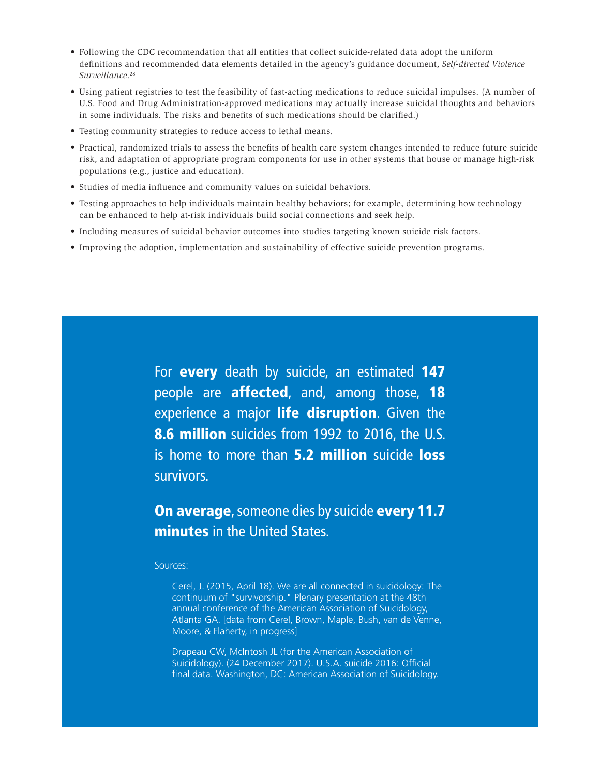- Following the CDC recommendation that all entities that collect suicide-related data adopt the uniform definitions and recommended data elements detailed in the agency's guidance document, *Self-directed Violence Surveillance*. 28
- Using patient registries to test the feasibility of fast-acting medications to reduce suicidal impulses. (A number of U.S. Food and Drug Administration-approved medications may actually increase suicidal thoughts and behaviors in some individuals. The risks and benefits of such medications should be clarified.)
- Testing community strategies to reduce access to lethal means.
- Practical, randomized trials to assess the benefits of health care system changes intended to reduce future suicide risk, and adaptation of appropriate program components for use in other systems that house or manage high-risk populations (e.g., justice and education).
- Studies of media influence and community values on suicidal behaviors.
- Testing approaches to help individuals maintain healthy behaviors; for example, determining how technology can be enhanced to help at-risk individuals build social connections and seek help.
- Including measures of suicidal behavior outcomes into studies targeting known suicide risk factors.
- Improving the adoption, implementation and sustainability of effective suicide prevention programs.

For **every** death by suicide, an estimated 147 people are **affected**, and, among those, 18 experience a major life disruption. Given the 8.6 million suicides from 1992 to 2016, the U.S. is home to more than **5.2 million** suicide **loss** survivors.

On average, someone dies by suicide every 11.7 minutes in the United States.

Sources:

Cerel, J. (2015, April 18). We are all connected in suicidology: The continuum of "survivorship." Plenary presentation at the 48th annual conference of the American Association of Suicidology, Atlanta GA. [data from Cerel, Brown, Maple, Bush, van de Venne, Moore, & Flaherty, in progress]

Drapeau CW, McIntosh JL (for the American Association of Suicidology). (24 December 2017). U.S.A. suicide 2016: Official final data. Washington, DC: American Association of Suicidology.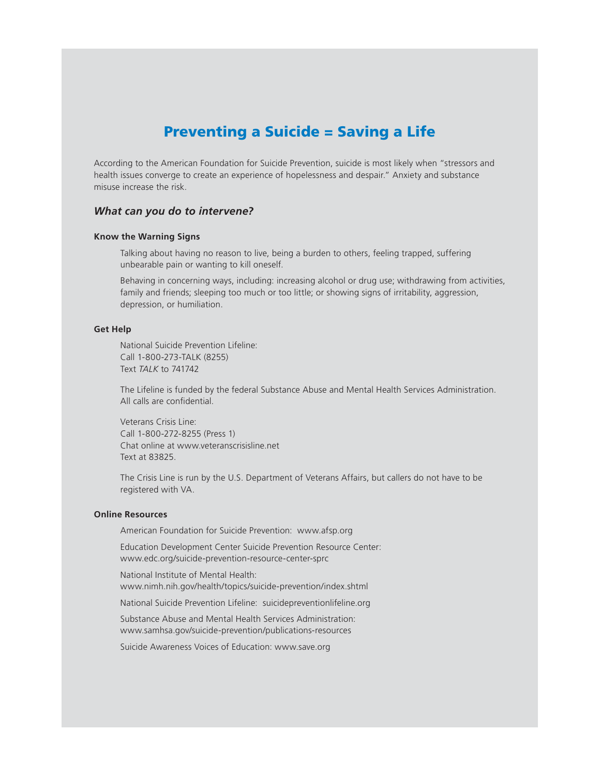# Preventing a Suicide = Saving a Life

According to the American Foundation for Suicide Prevention, suicide is most likely when "stressors and health issues converge to create an experience of hopelessness and despair." Anxiety and substance misuse increase the risk.

# *What can you do to intervene?*

#### **Know the Warning Signs**

Talking about having no reason to live, being a burden to others, feeling trapped, suffering unbearable pain or wanting to kill oneself.

Behaving in concerning ways, including: increasing alcohol or drug use; withdrawing from activities, family and friends; sleeping too much or too little; or showing signs of irritability, aggression, depression, or humiliation.

# **Get Help**

National Suicide Prevention Lifeline: Call 1-800-273-TALK (8255) Text *TALK* to 741742

The Lifeline is funded by the federal Substance Abuse and Mental Health Services Administration. All calls are confidential.

Veterans Crisis Line: Call 1-800-272-8255 (Press 1) Chat online at www.veteranscrisisline.net Text at 83825.

The Crisis Line is run by the U.S. Department of Veterans Affairs, but callers do not have to be registered with VA.

## **Online Resources**

American Foundation for Suicide Prevention: www.afsp.org

Education Development Center Suicide Prevention Resource Center: www.edc.org/suicide-prevention-resource-center-sprc

National Institute of Mental Health: www.nimh.nih.gov/health/topics/suicide-prevention/index.shtml

National Suicide Prevention Lifeline: suicidepreventionlifeline.org

Substance Abuse and Mental Health Services Administration: www.samhsa.gov/suicide-prevention/publications-resources

Suicide Awareness Voices of Education: www.save.org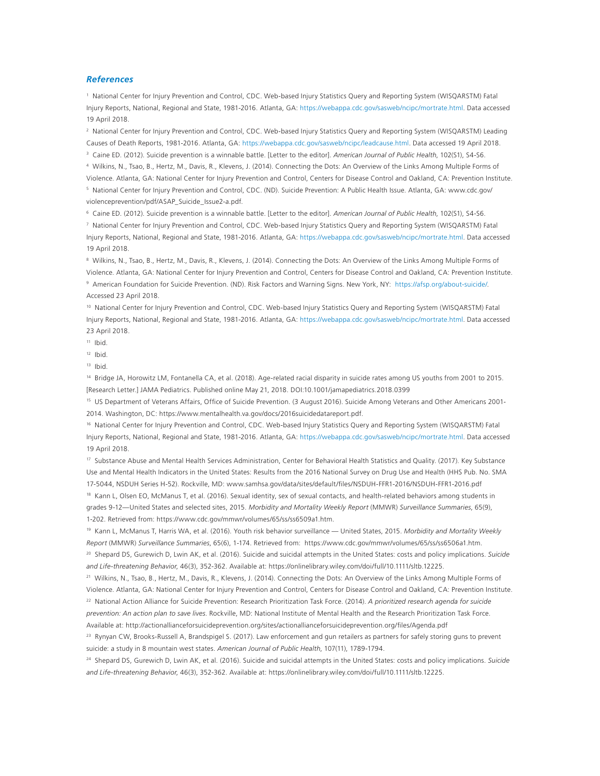#### *References*

1 National Center for Injury Prevention and Control, CDC. Web-based Injury Statistics Query and Reporting System (WISQARSTM) Fatal Injury Reports, National, Regional and State, 1981-2016. Atlanta, GA: [https://webappa.cdc.gov/sasweb/ncipc/mortrate.html.](https://webappa.cdc.gov/sasweb/ncipc/mortrate.html) Data accessed 19 April 2018.

2 National Center for Injury Prevention and Control, CDC. Web-based Injury Statistics Query and Reporting System (WISQARSTM) Leading Causes of Death Reports, 1981-2016. Atlanta, GA:<https://webappa.cdc.gov/sasweb/ncipc/leadcause.html>. Data accessed 19 April 2018.

3 Caine ED. (2012). Suicide prevention is a winnable battle. [Letter to the editor]. *American Journal of Public Health*, 102(S1), S4-S6.

4 Wilkins, N., Tsao, B., Hertz, M., Davis, R., Klevens, J. (2014). Connecting the Dots: An Overview of the Links Among Multiple Forms of

Violence. Atlanta, GA: National Center for Injury Prevention and Control, Centers for Disease Control and Oakland, CA: Prevention Institute. 5 National Center for Injury Prevention and Control, CDC. (ND). Suicide Prevention: A Public Health Issue. Atlanta, GA: www.cdc.gov/ violenceprevention/pdf/ASAP\_Suicide\_Issue2-a.pdf.

6 Caine ED. (2012). Suicide prevention is a winnable battle. [Letter to the editor]. *American Journal of Public Health*, 102(S1), S4-S6.

7 National Center for Injury Prevention and Control, CDC. Web-based Injury Statistics Query and Reporting System (WISQARSTM) Fatal Injury Reports, National, Regional and State, 1981-2016. Atlanta, GA: [https://webappa.cdc.gov/sasweb/ncipc/mortrate.html.](https://webappa.cdc.gov/sasweb/ncipc/mortrate.html) Data accessed 19 April 2018.

8 Wilkins, N., Tsao, B., Hertz, M., Davis, R., Klevens, J. (2014). Connecting the Dots: An Overview of the Links Among Multiple Forms of Violence. Atlanta, GA: National Center for Injury Prevention and Control, Centers for Disease Control and Oakland, CA: Prevention Institute. 9 American Foundation for Suicide Prevention. (ND). Risk Factors and Warning Signs. New York, NY: <https://afsp.org/about-suicide/>. Accessed 23 April 2018.

10 National Center for Injury Prevention and Control, CDC. Web-based Injury Statistics Query and Reporting System (WISQARSTM) Fatal Injury Reports, National, Regional and State, 1981-2016. Atlanta, GA: [https://webappa.cdc.gov/sasweb/ncipc/mortrate.html.](https://webappa.cdc.gov/sasweb/ncipc/mortrate.html) Data accessed 23 April 2018.

 $11$  Ibid.

 $12$  Ibid.

 $13$  Ibid.

14 Bridge JA, Horowitz LM, Fontanella CA, et al. (2018). Age-related racial disparity in suicide rates among US youths from 2001 to 2015. [Research Letter.] JAMA Pediatrics. Published online May 21, 2018. DOI:10.1001/jamapediatrics.2018.0399

15 US Department of Veterans Affairs, Office of Suicide Prevention. (3 August 2016). Suicide Among Veterans and Other Americans 2001- 2014. Washington, DC: https://www.mentalhealth.va.gov/docs/2016suicidedatareport.pdf.

16 National Center for Injury Prevention and Control, CDC. Web-based Injury Statistics Query and Reporting System (WISQARSTM) Fatal Injury Reports, National, Regional and State, 1981-2016. Atlanta, GA: [https://webappa.cdc.gov/sasweb/ncipc/mortrate.html.](https://webappa.cdc.gov/sasweb/ncipc/mortrate.html) Data accessed 19 April 2018.

17 Substance Abuse and Mental Health Services Administration, Center for Behavioral Health Statistics and Quality. (2017). Key Substance Use and Mental Health Indicators in the United States: Results from the 2016 National Survey on Drug Use and Health (HHS Pub. No. SMA 17-5044, NSDUH Series H-52). Rockville, MD: www.samhsa.gov/data/sites/default/files/NSDUH-FFR1-2016/NSDUH-FFR1-2016.pdf 18 Kann L, Olsen EO, McManus T, et al. (2016). Sexual identity, sex of sexual contacts, and health-related behaviors among students in grades 9-12—United States and selected sites, 2015. *Morbidity and Mortality Weekly Report* (MMWR) *Surveillance Summaries*, 65(9), 1-202. Retrieved from: https://www.cdc.gov/mmwr/volumes/65/ss/ss6509a1.htm.

19 Kann L, McManus T, Harris WA, et al. (2016). Youth risk behavior surveillance — United States, 2015. *Morbidity and Mortality Weekly Report* (MMWR) *Surveillance Summaries*, 65(6), 1-174. Retrieved from: https://www.cdc.gov/mmwr/volumes/65/ss/ss6506a1.htm.

20 Shepard DS, Gurewich D, Lwin AK, et al. (2016). Suicide and suicidal attempts in the United States: costs and policy implications. *Suicide and Life-threatening Behavior*, 46(3), 352-362. Available at: https://onlinelibrary.wiley.com/doi/full/10.1111/sltb.12225.

21 Wilkins, N., Tsao, B., Hertz, M., Davis, R., Klevens, J. (2014). Connecting the Dots: An Overview of the Links Among Multiple Forms of Violence. Atlanta, GA: National Center for Injury Prevention and Control, Centers for Disease Control and Oakland, CA: Prevention Institute. 22 National Action Alliance for Suicide Prevention: Research Prioritization Task Force. (2014). *A prioritized research agenda for suicide* 

*prevention: An action plan to save lives*. Rockville, MD: National Institute of Mental Health and the Research Prioritization Task Force. Available at: http://actionallianceforsuicideprevention.org/sites/actionallianceforsuicideprevention.org/files/Agenda.pdf

<sup>23</sup> Rynyan CW, Brooks-Russell A, Brandspigel S. (2017). Law enforcement and gun retailers as partners for safely storing guns to prevent suicide: a study in 8 mountain west states. *American Journal of Public Health*, 107(11), 1789-1794.

24 Shepard DS, Gurewich D, Lwin AK, et al. (2016). Suicide and suicidal attempts in the United States: costs and policy implications. *Suicide and Life-threatening Behavior*, 46(3), 352-362. Available at: https://onlinelibrary.wiley.com/doi/full/10.1111/sltb.12225.